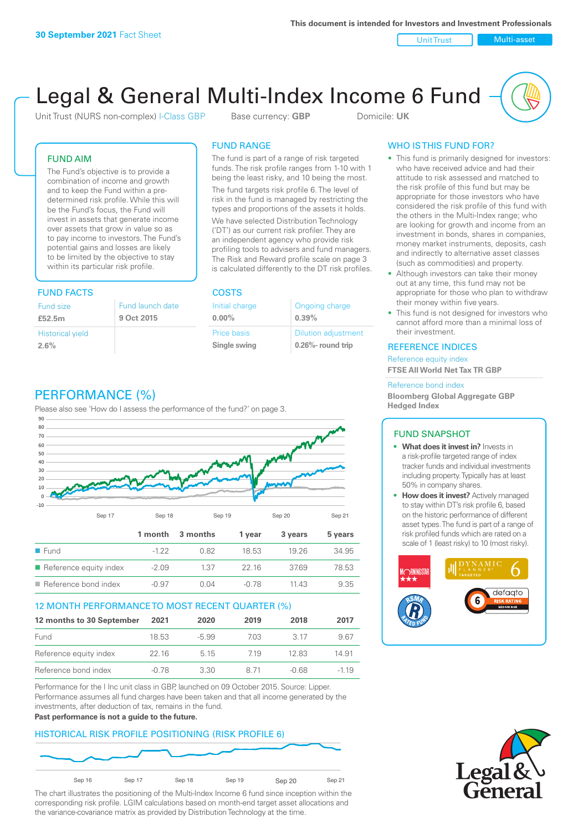Unit Trust Nulti-asset

# Legal & General Multi-Index Income 6 Fund

Unit Trust (NURS non-complex) I-Class GBP Base currency: **GBP** Domicile: UK

### FUND AIM

The Fund's objective is to provide a combination of income and growth and to keep the Fund within a predetermined risk profile. While this will be the Fund's focus, the Fund will invest in assets that generate income over assets that grow in value so as to pay income to investors. The Fund's potential gains and losses are likely to be limited by the objective to stay within its particular risk profile.

### FUND FACTS COSTS

| Fund size               | Fund launch date |
|-------------------------|------------------|
| £52.5m                  | 9 Oct 2015       |
| <b>Historical yield</b> |                  |
| 2.6%                    |                  |

### FUND RANGE

The fund is part of a range of risk targeted funds. The risk profile ranges from 1-10 with 1 being the least risky, and 10 being the most.

The fund targets risk profile 6. The level of risk in the fund is managed by restricting the types and proportions of the assets it holds. We have selected Distribution Technology ('DT') as our current risk profiler. They are an independent agency who provide risk profiling tools to advisers and fund managers. The Risk and Reward profile scale on page 3 is calculated differently to the DT risk profiles.

**0.00%**

| Initial charge     | Ongoing charge             |
|--------------------|----------------------------|
| $0.00\%$           | 0.39%                      |
| <b>Price basis</b> | <b>Dilution adjustment</b> |
| Single swing       | 0.26%- round trip          |

### PERFORMANCE (%)

Please also see 'How do I assess the performance of the fund?' on page 3.



### 12 MONTH PERFORMANCE TO MOST RECENT QUARTER (%)

| 12 months to 30 September | 2021  | 2020    | 2019 | 2018  | 2017   |
|---------------------------|-------|---------|------|-------|--------|
| Fund                      | 18.53 | $-5.99$ | 703  | 3 17  | 9.67   |
| Reference equity index    | 22 16 | 5 1 5   | 719  | 12.83 | 14.91  |
| Reference bond index      | -0.78 | 3.30    | 8 71 | -0.68 | $-119$ |

Performance for the I Inc unit class in GBP, launched on 09 October 2015. Source: Lipper. Performance assumes all fund charges have been taken and that all income generated by the investments, after deduction of tax, remains in the fund.

#### **Past performance is not a guide to the future.**

### HISTORICAL RISK PROFILE POSITIONING (RISK PROFILE 6)



The chart illustrates the positioning of the Multi-Index Income 6 fund since inception within the corresponding risk profile. LGIM calculations based on month-end target asset allocations and the variance-covariance matrix as provided by Distribution Technology at the time.

### WHO IS THIS FUND FOR?

- This fund is primarily designed for investors: who have received advice and had their attitude to risk assessed and matched to the risk profile of this fund but may be appropriate for those investors who have considered the risk profile of this fund with the others in the Multi-Index range; who are looking for growth and income from an investment in bonds, shares in companies, money market instruments, deposits, cash and indirectly to alternative asset classes (such as commodities) and property.
- Although investors can take their money out at any time, this fund may not be appropriate for those who plan to withdraw their money within five years.
- This fund is not designed for investors who cannot afford more than a minimal loss of their investment.

### REFERENCE INDICES

Reference equity index **FTSE All World Net Tax TR GBP**

#### Reference bond index

**Bloomberg Global Aggregate GBP Hedged Index**

### FUND SNAPSHOT

- **• What does it invest in?** Invests in a risk-profile targeted range of index tracker funds and individual investments including property. Typically has at least 50% in company shares.
- **• How does it invest?** Actively managed to stay within DT's risk profile 6, based on the historic performance of different asset types. The fund is part of a range of risk profiled funds which are rated on a scale of 1 (least risky) to 10 (most risky).



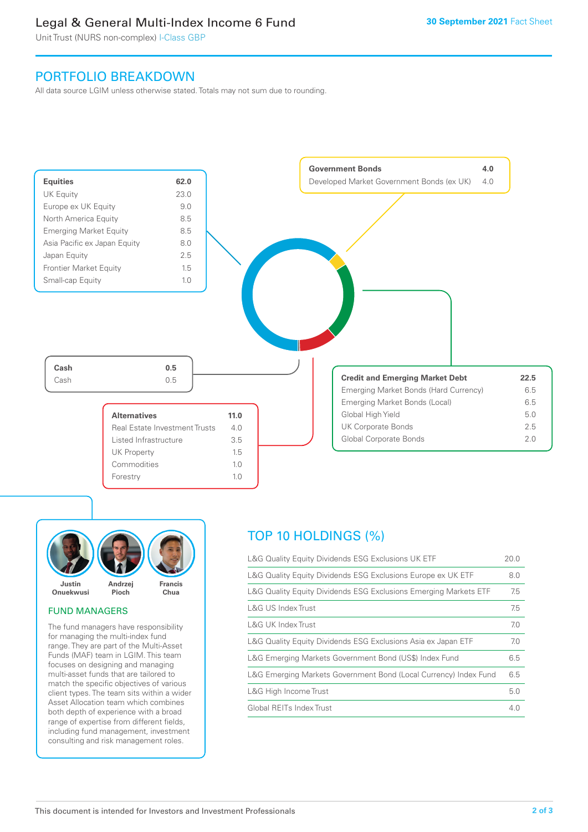### Legal & General Multi-Index Income 6 Fund

Unit Trust (NURS non-complex) I-Class GBP

### PORTFOLIO BREAKDOWN

All data source LGIM unless otherwise stated. Totals may not sum due to rounding.





### FUND MANAGERS

The fund managers have responsibility for managing the multi-index fund range. They are part of the Multi-Asset Funds (MAF) team in LGIM. This team focuses on designing and managing multi-asset funds that are tailored to match the specific objectives of various client types. The team sits within a wider Asset Allocation team which combines both depth of experience with a broad range of expertise from different fields, including fund management, investment consulting and risk management roles.

## TOP 10 HOLDINGS (%)

| L&G Quality Equity Dividends ESG Exclusions UK ETF               | 20.0 |
|------------------------------------------------------------------|------|
| L&G Quality Equity Dividends ESG Exclusions Europe ex UK ETF     | 8.0  |
| L&G Quality Equity Dividends ESG Exclusions Emerging Markets ETF | 7.5  |
| L&G US Index Trust                                               | 7.5  |
| L&G UK Index Trust                                               | 7.0  |
| L&G Quality Equity Dividends ESG Exclusions Asia ex Japan ETF    | 7.0  |
| L&G Emerging Markets Government Bond (US\$) Index Fund           | 6.5  |
| L&G Emerging Markets Government Bond (Local Currency) Index Fund | 6.5  |
| L&G High Income Trust                                            | 5.0  |
| Global REITs Index Trust                                         | 4.0  |